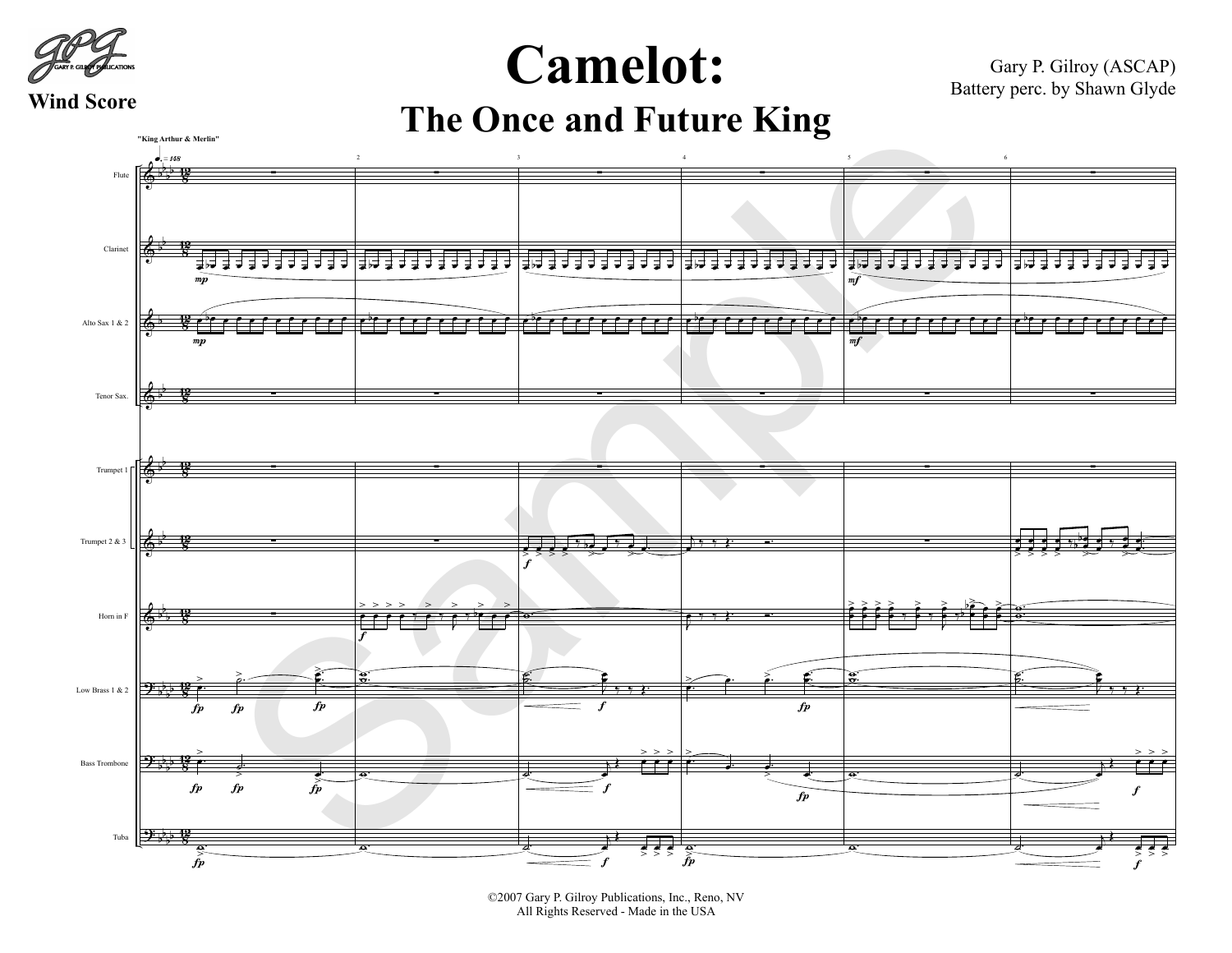**Wind Score**

## Camelot: Gary P. Gilroy (ASCAP)<br>Battery perc. by Shawn Glyde

## **The Once and Future King**



<sup>©2007</sup> Gary P. Gilroy Publications, Inc., Reno, NV All Rights Reserved - Made in the USA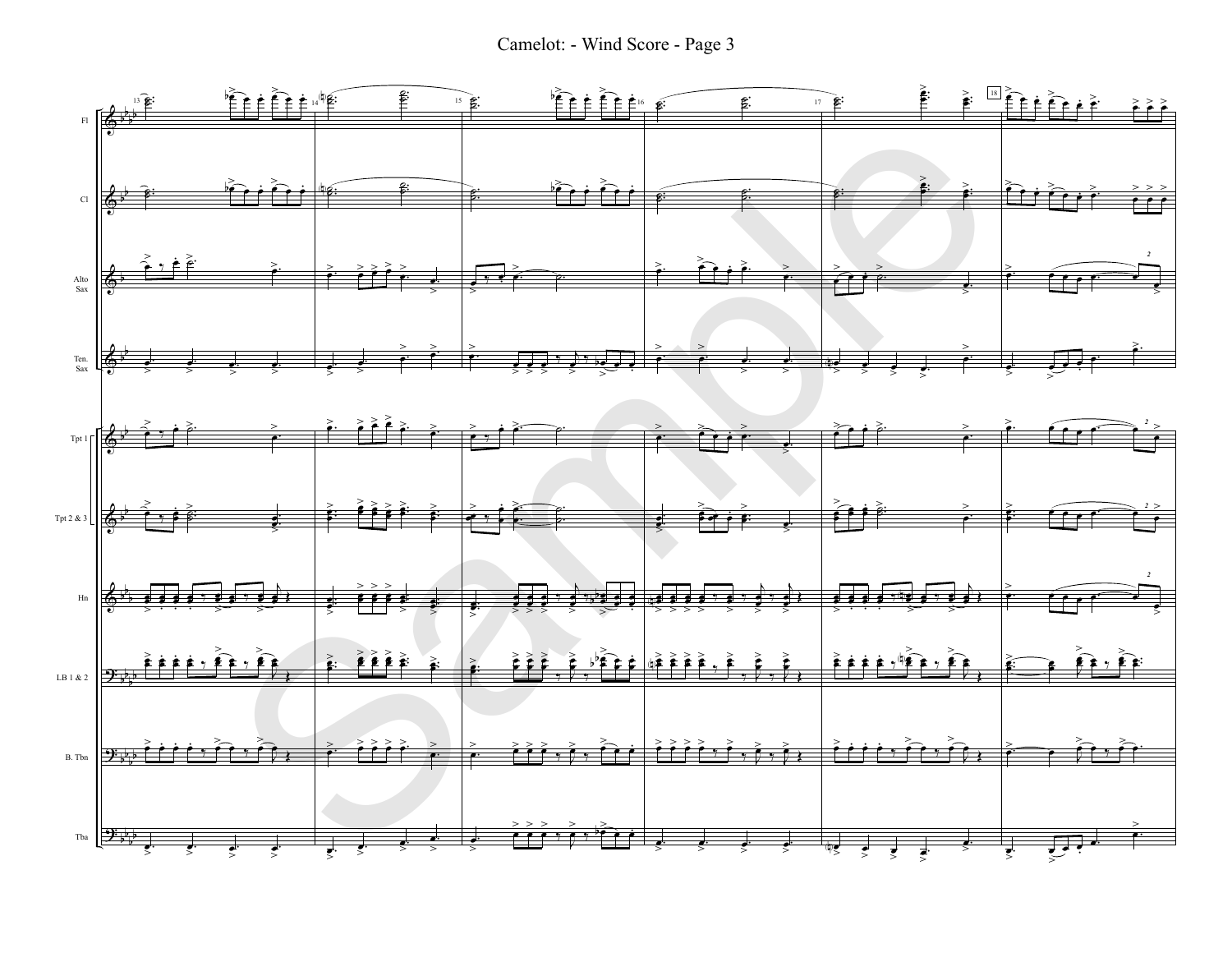Camelot: - Wind Score - Page 3

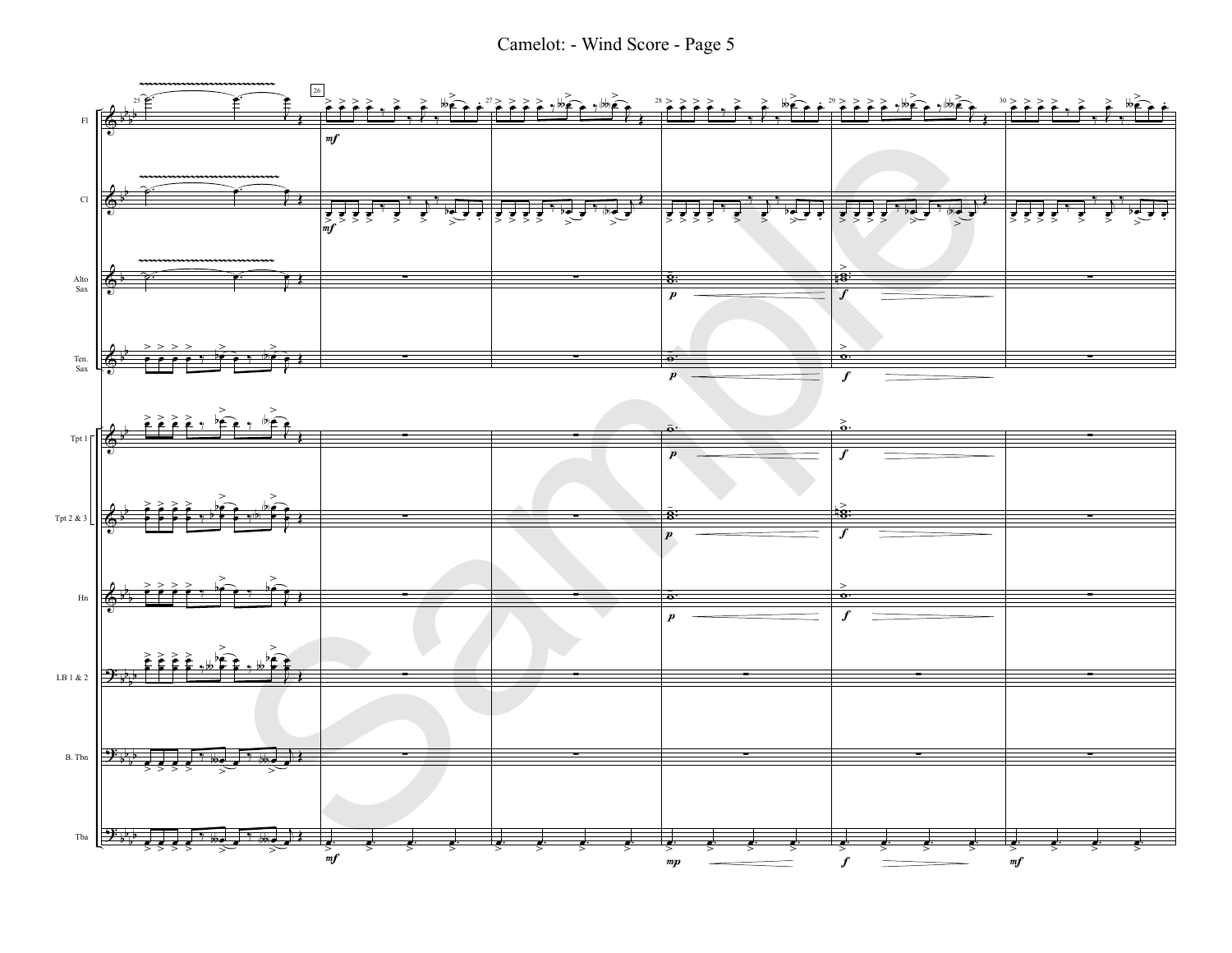Camelot: - Wind Score - Page 5

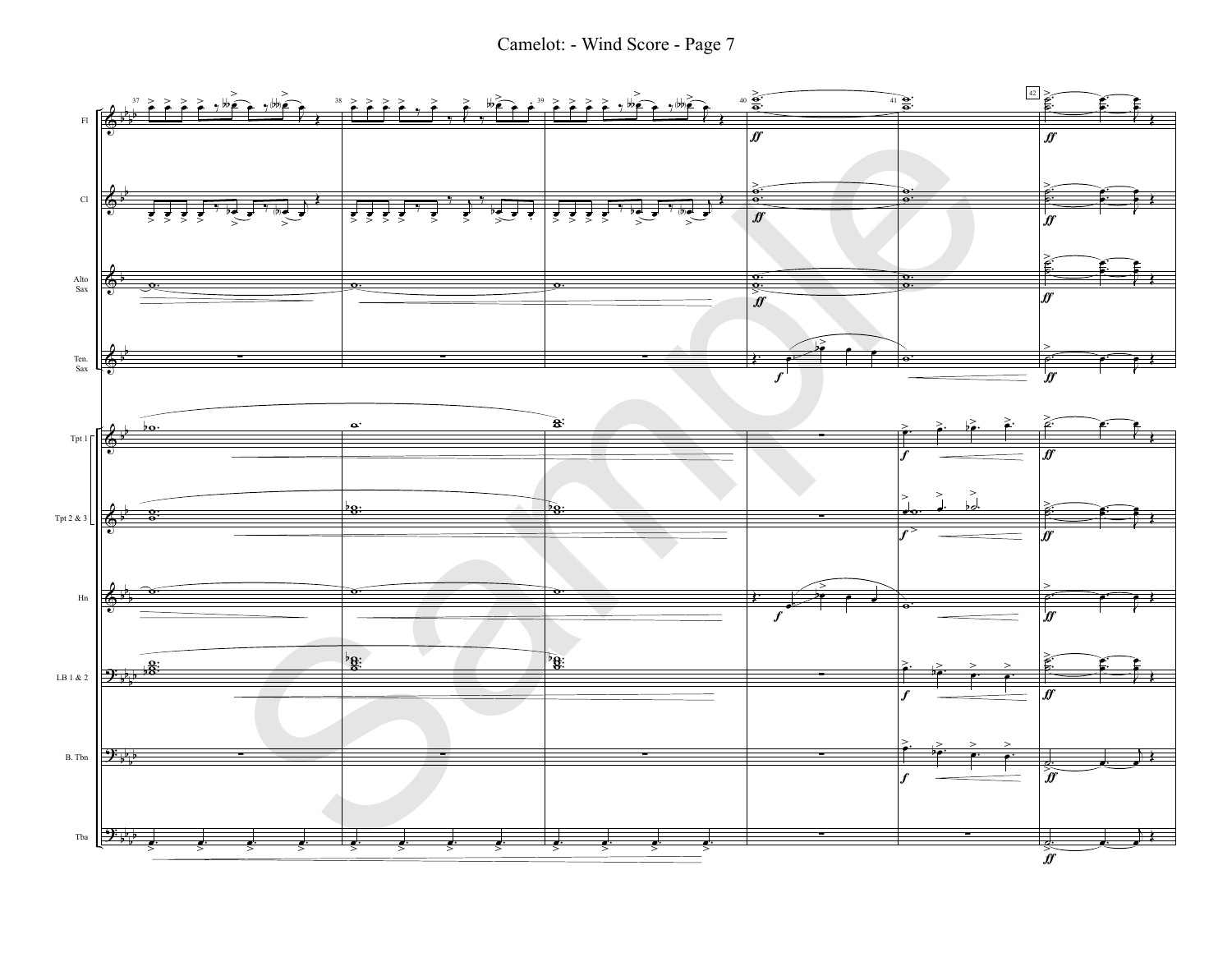Camelot: - Wind Score - Page 7

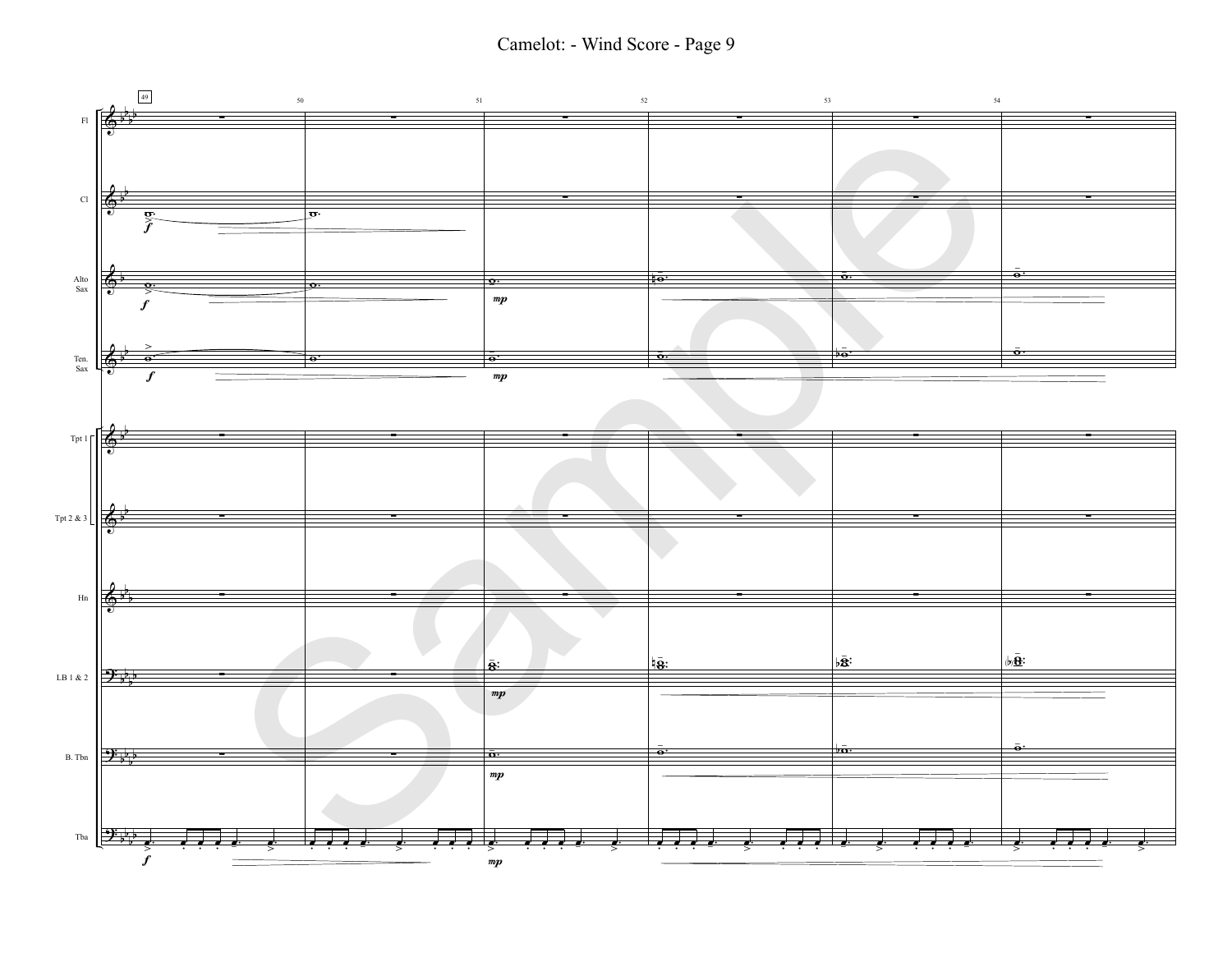Camelot: - Wind Score - Page 9

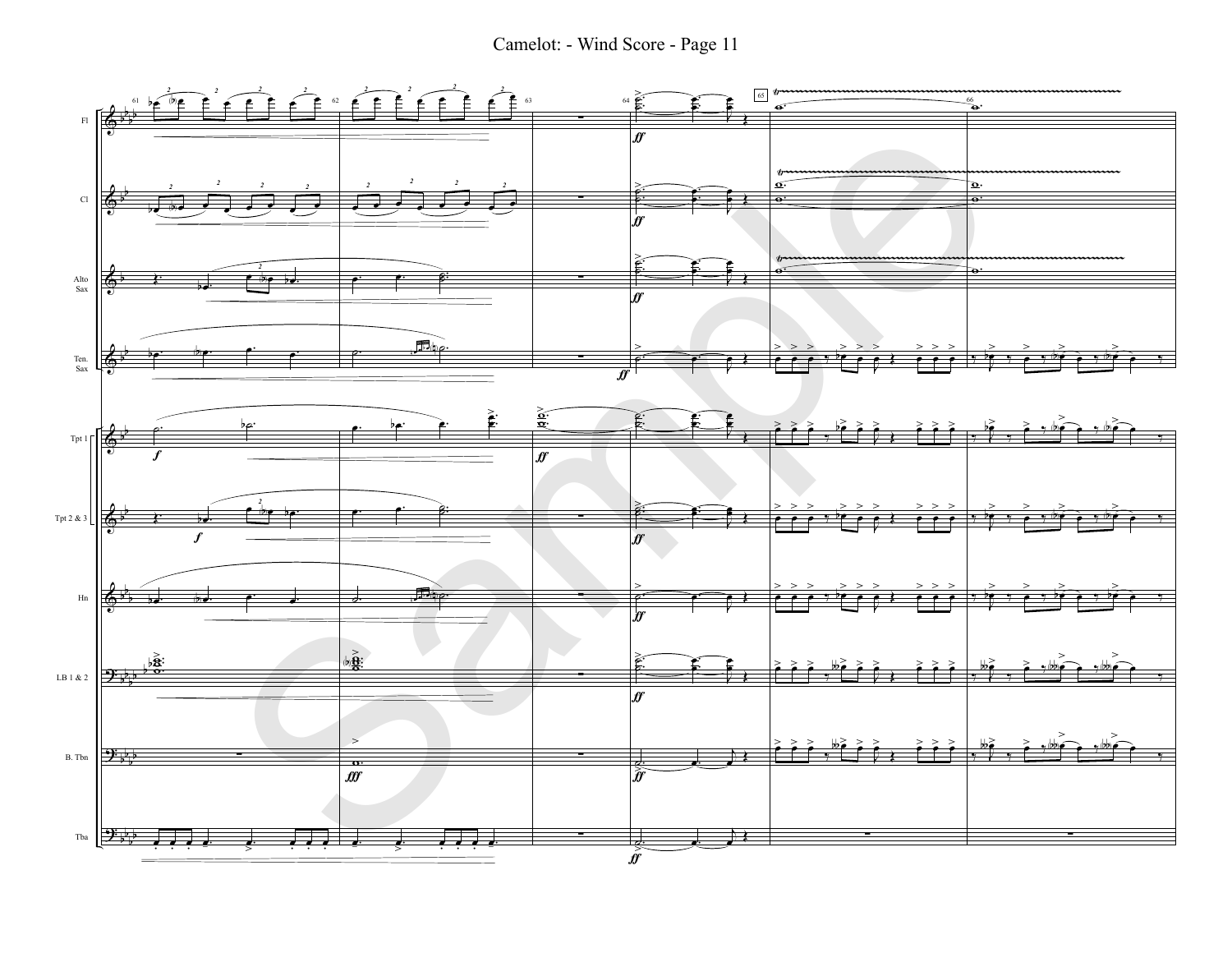Camelot: - Wind Score - Page 11

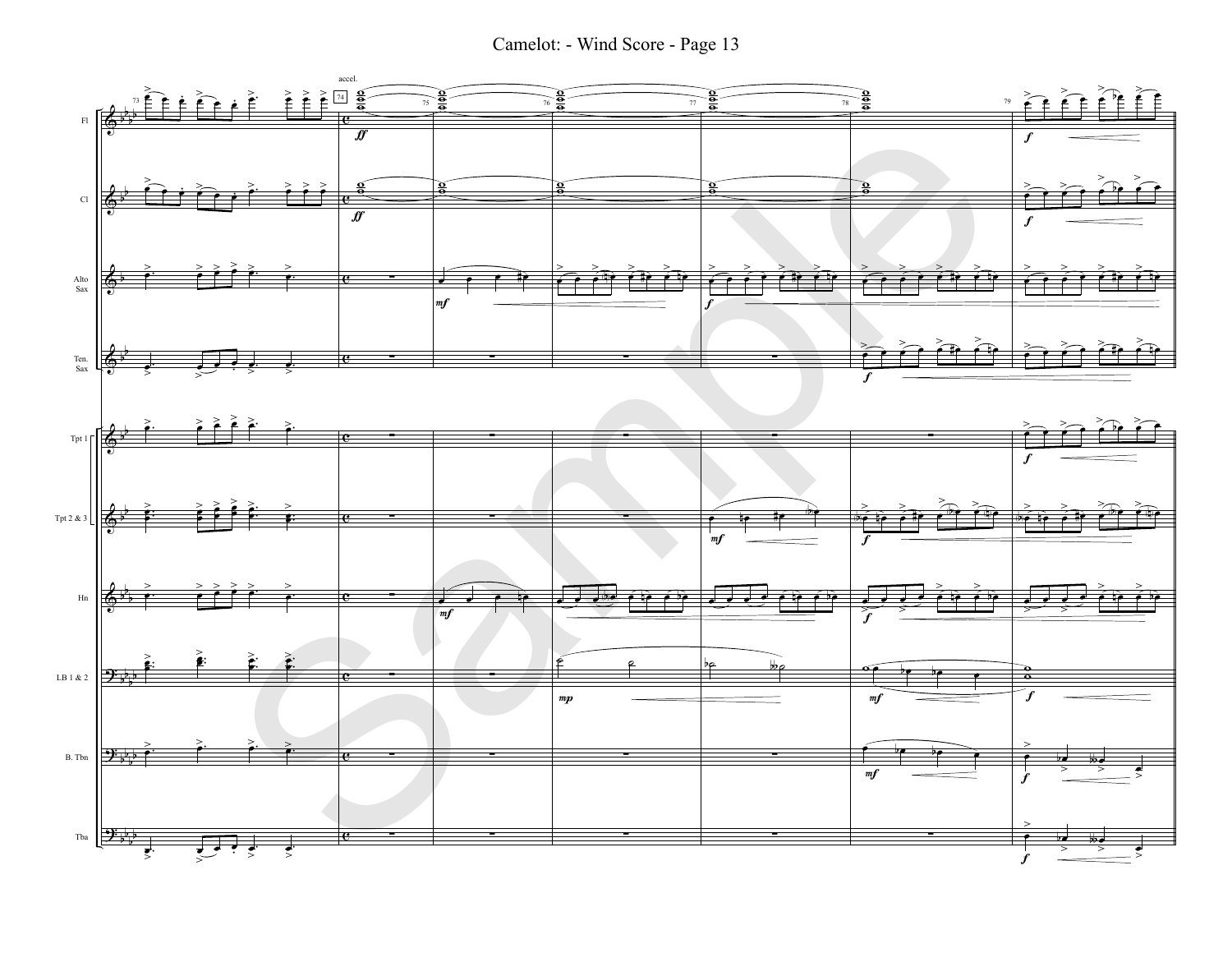Camelot: - Wind Score - Page 13

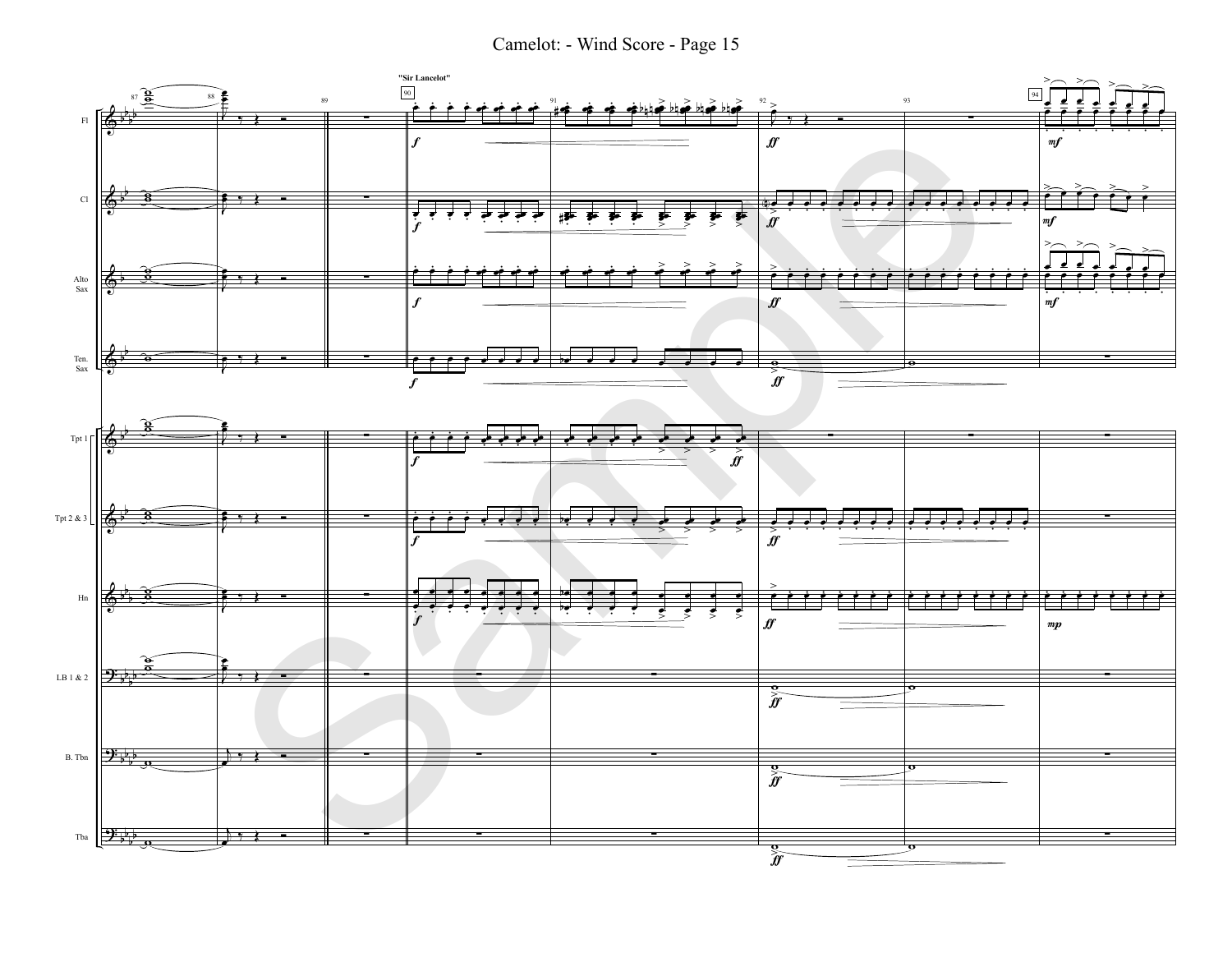Camelot: - Wind Score - Page 15

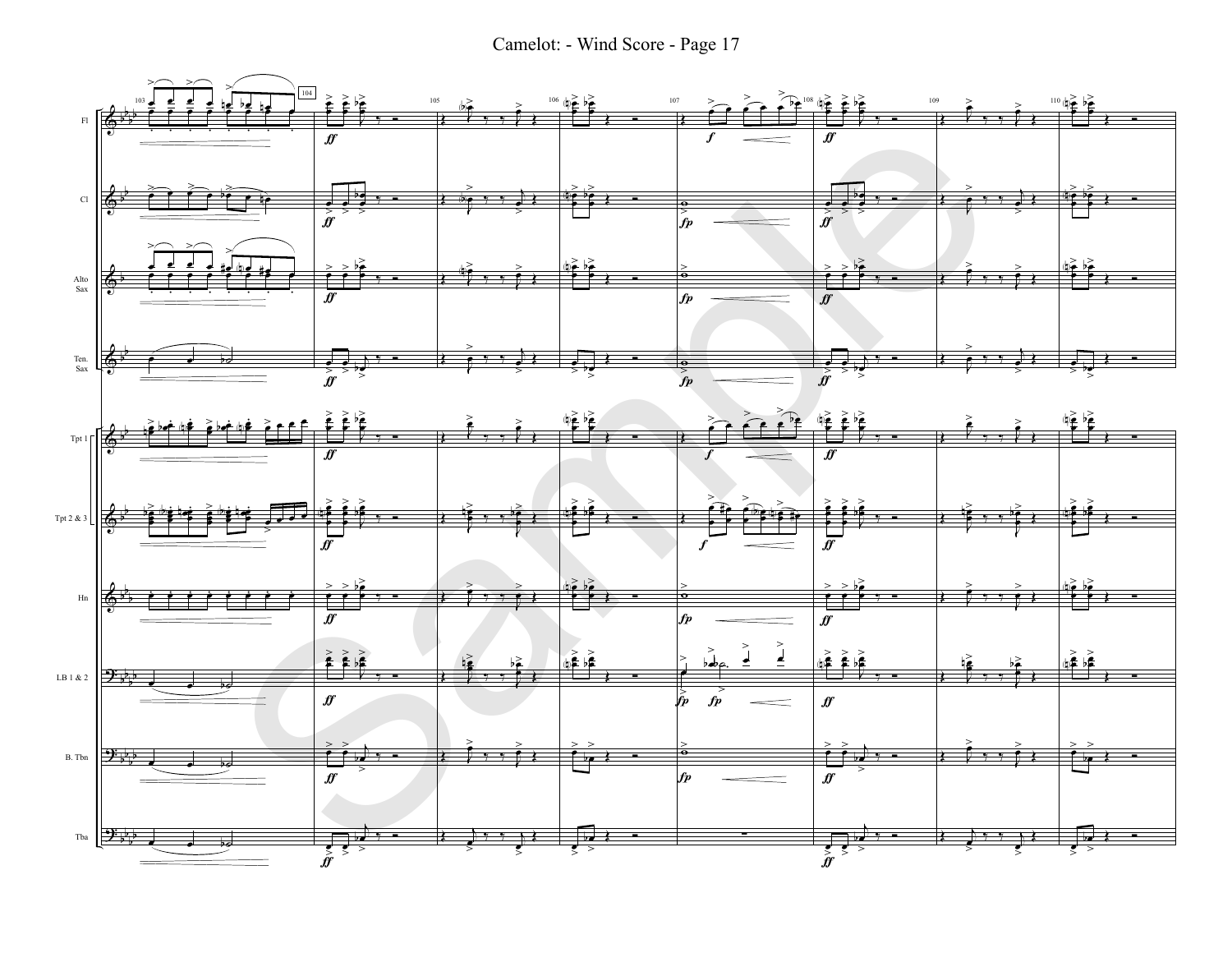Camelot: - Wind Score - Page 17

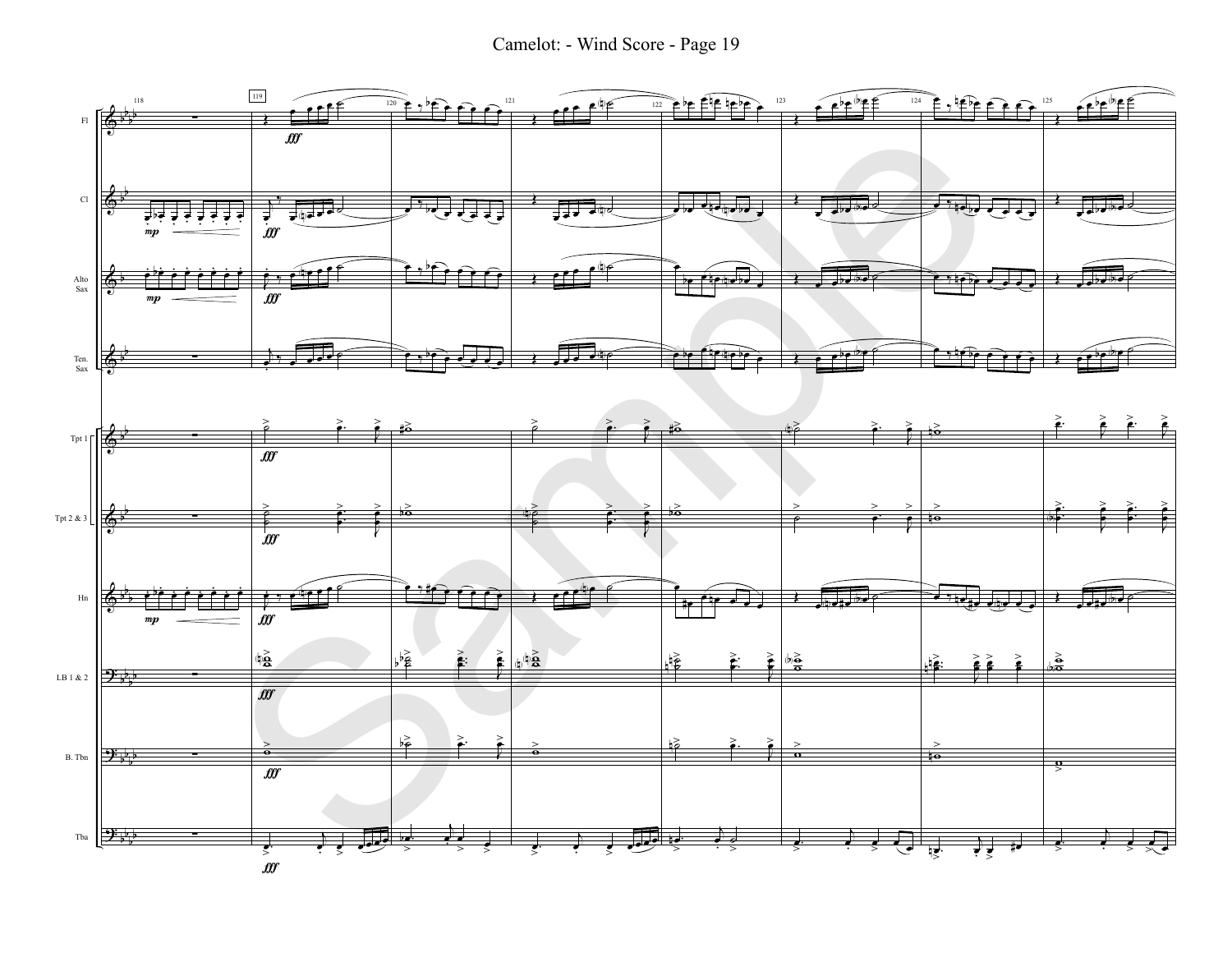Camelot: - Wind Score - Page 19

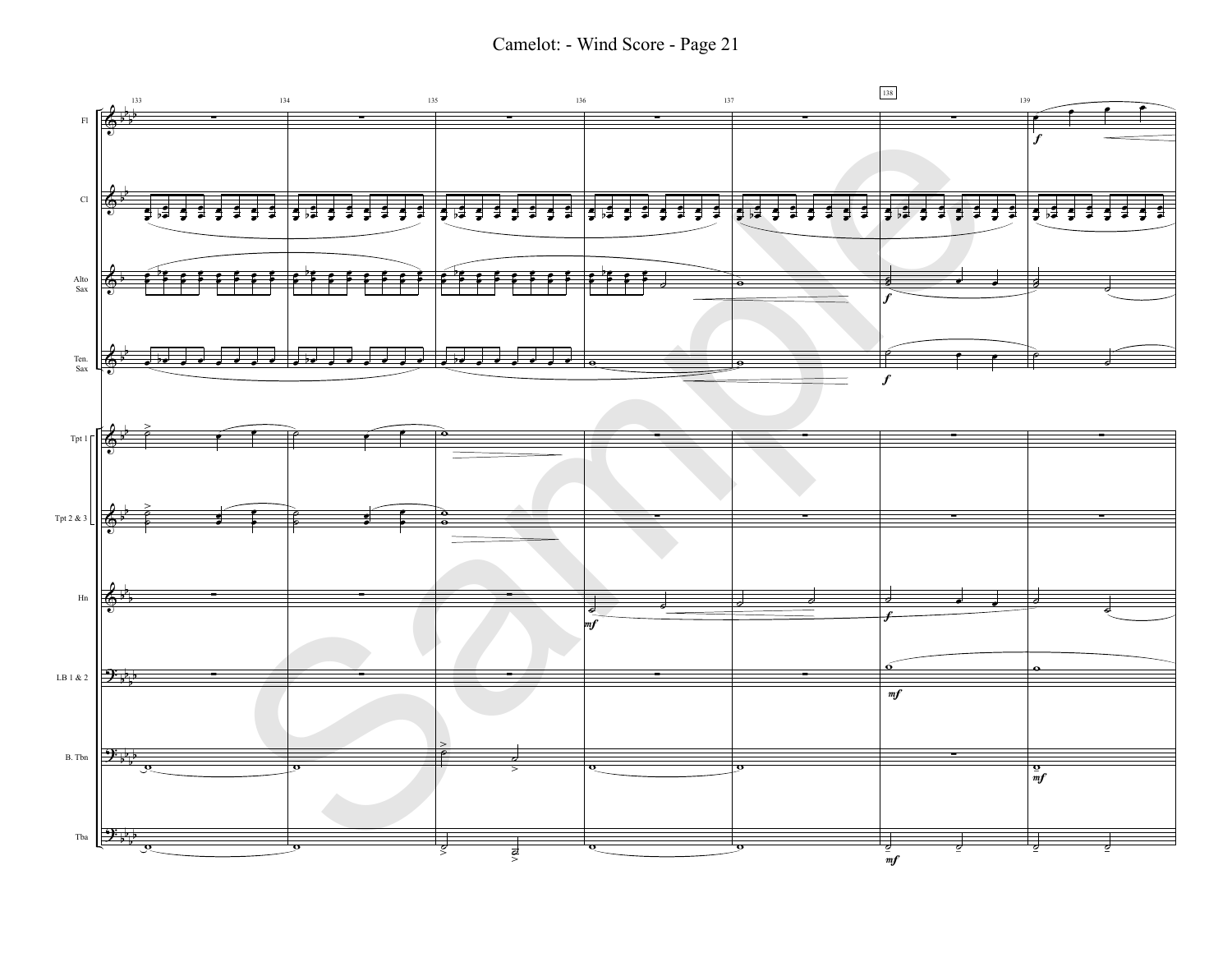Camelot: - Wind Score - Page 21

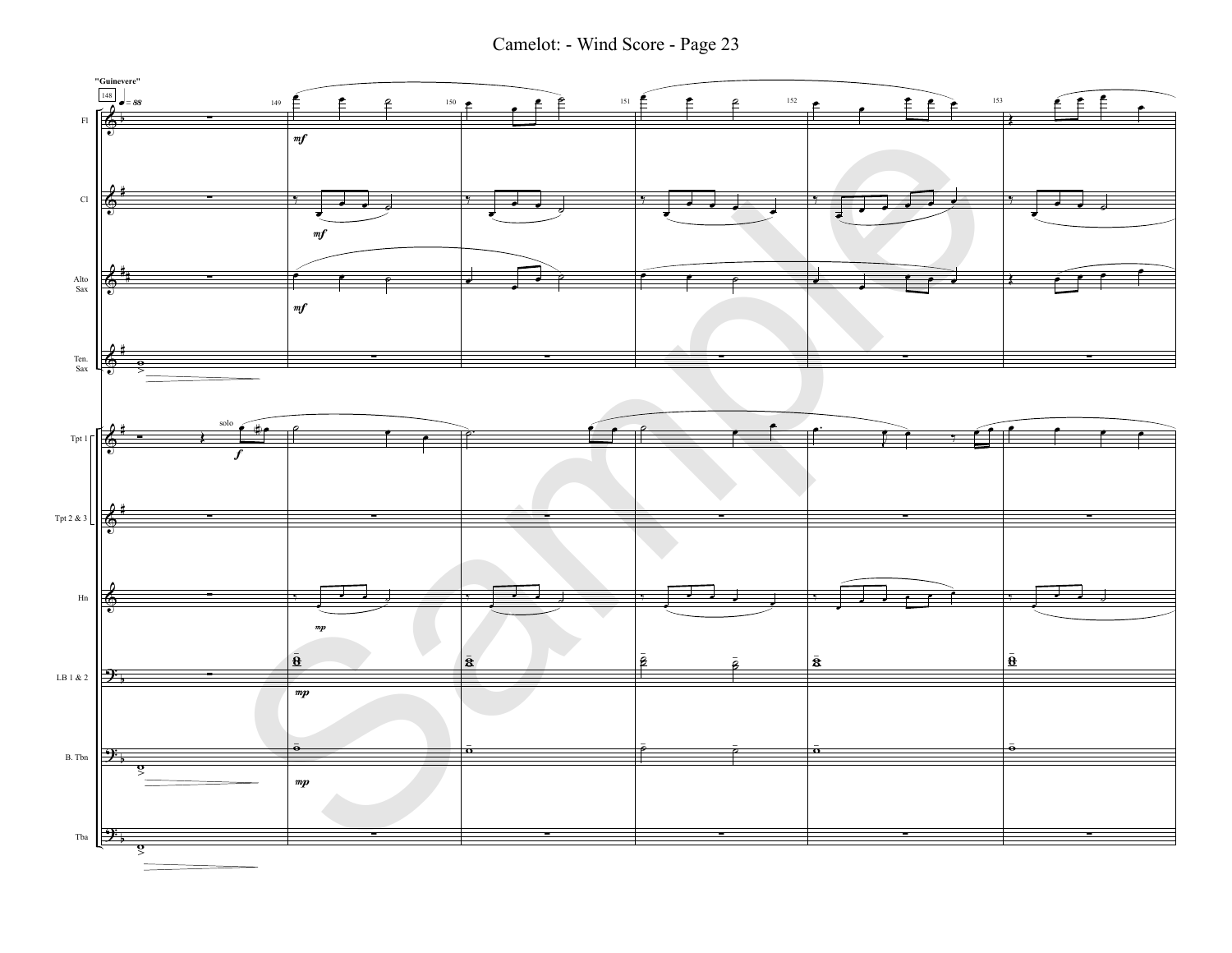Camelot: - Wind Score - Page 23

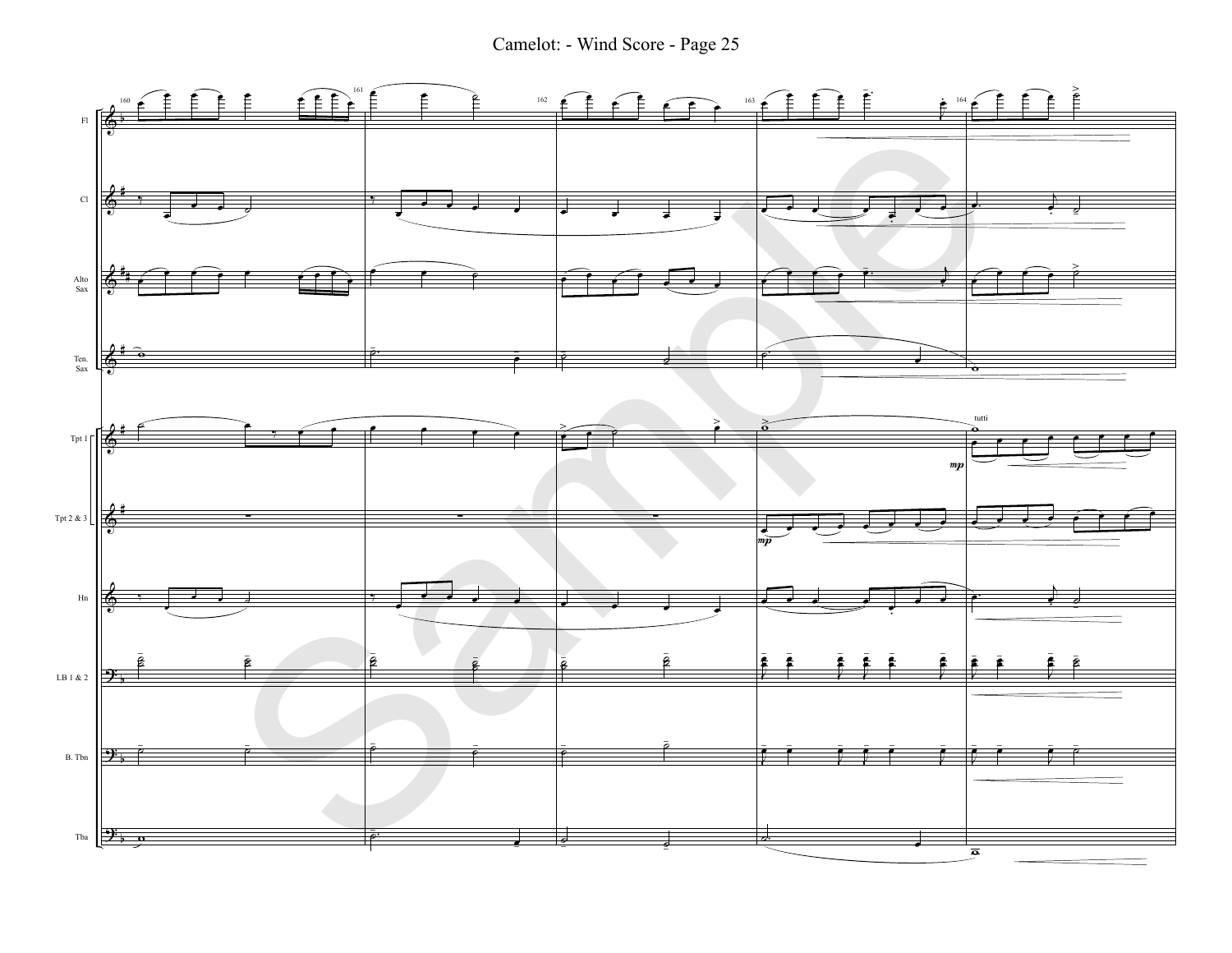Camelot: - Wind Score - Page 25

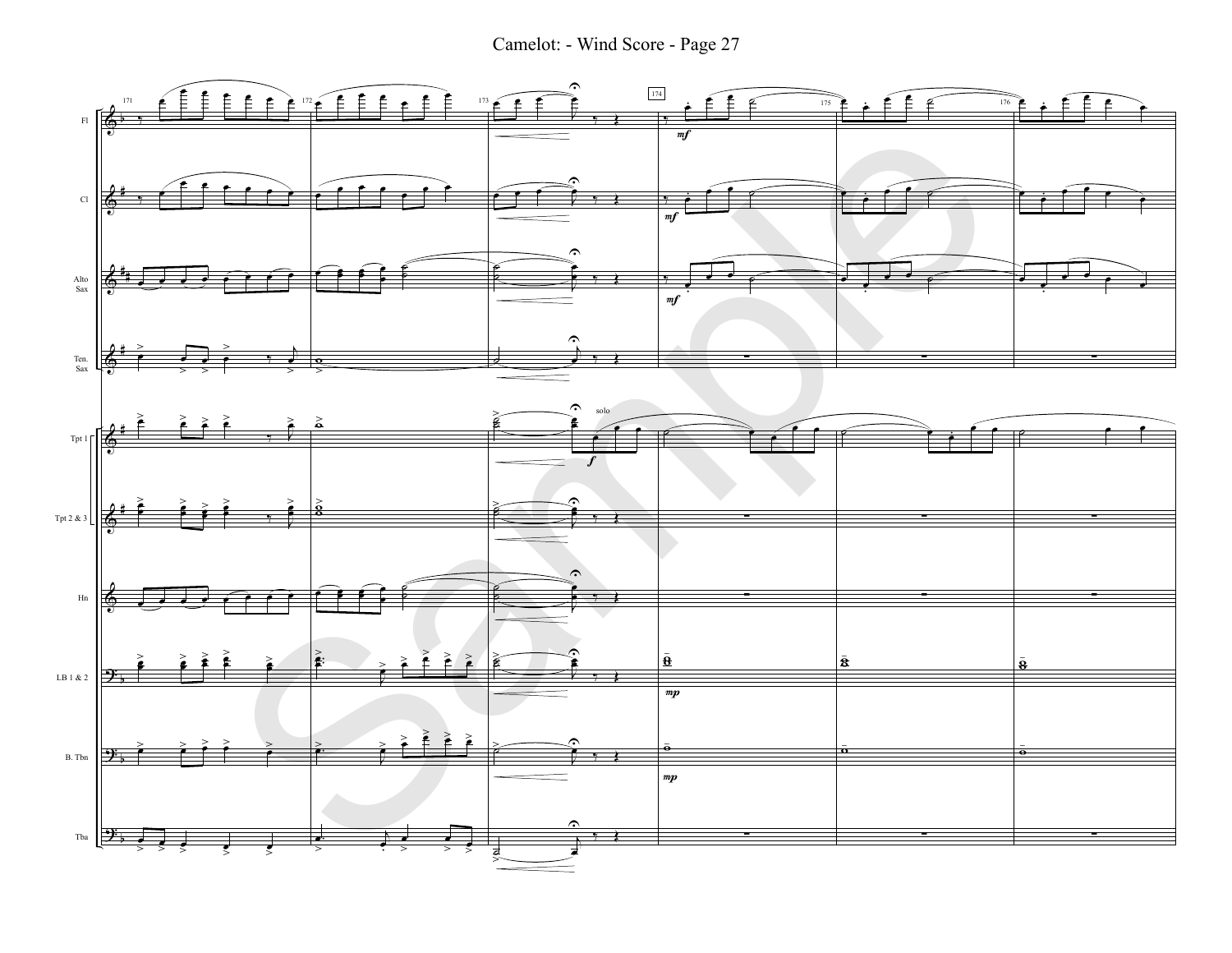Camelot: - Wind Score - Page 27

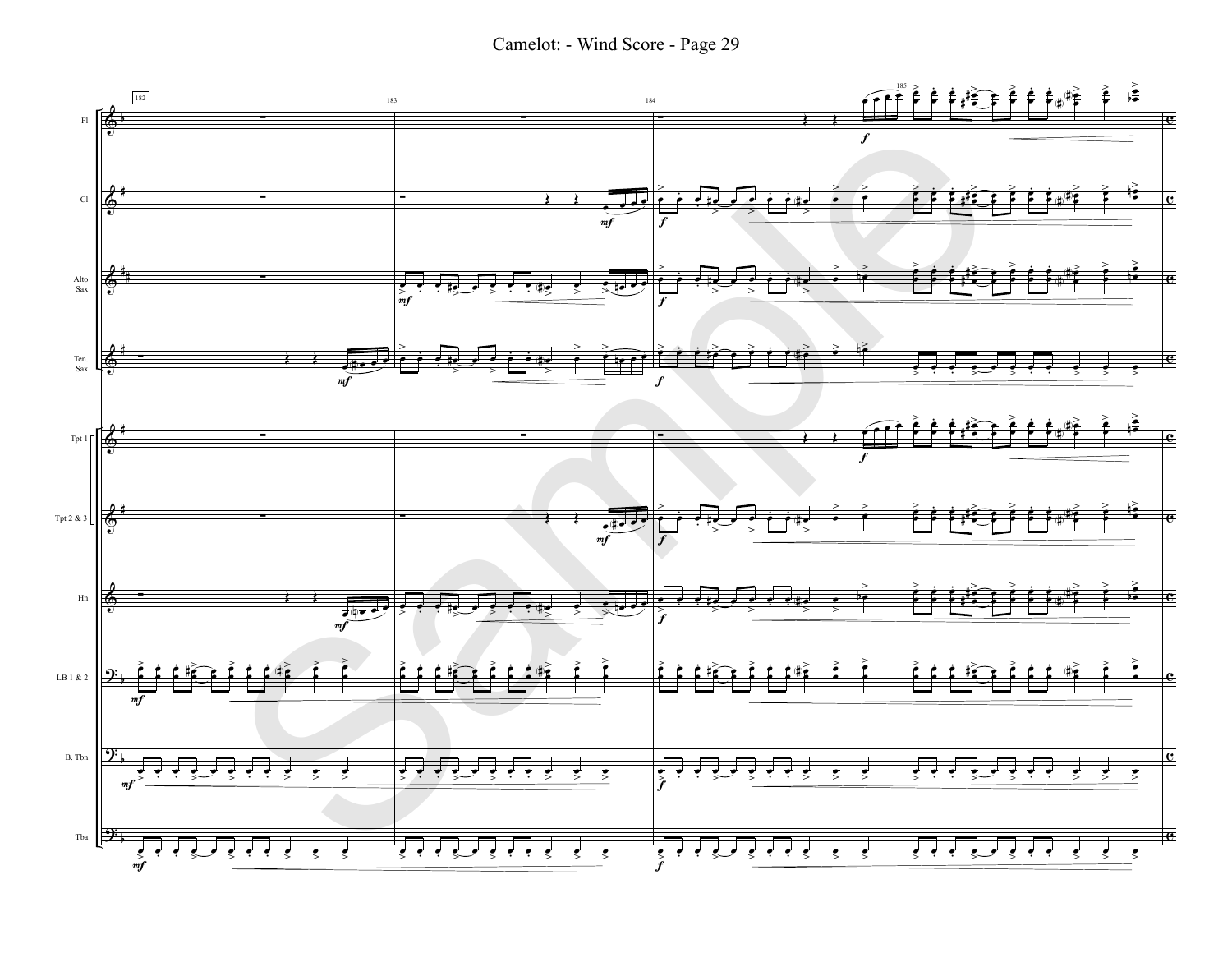Camelot: - Wind Score - Page 29

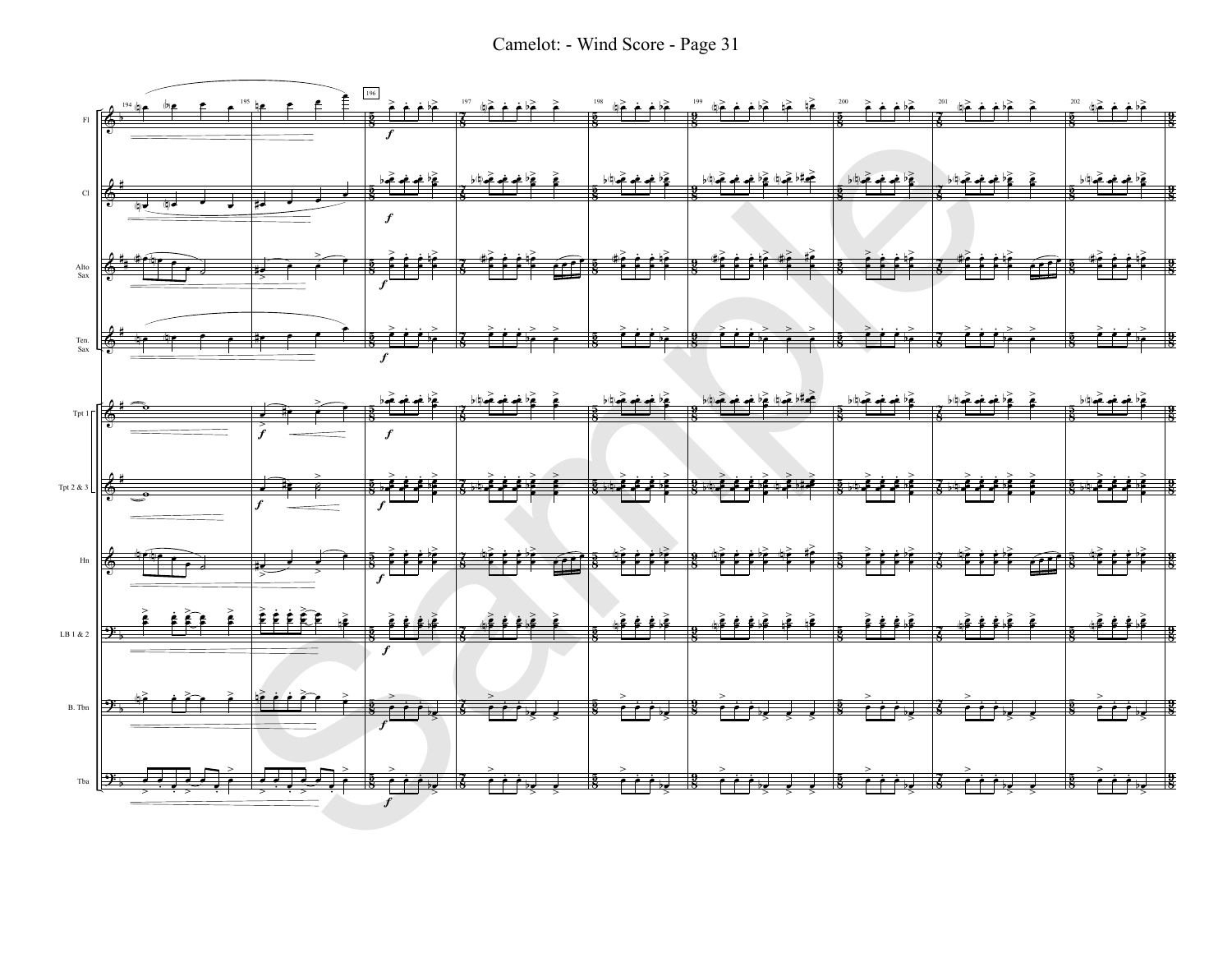Camelot: - Wind Score - Page 31

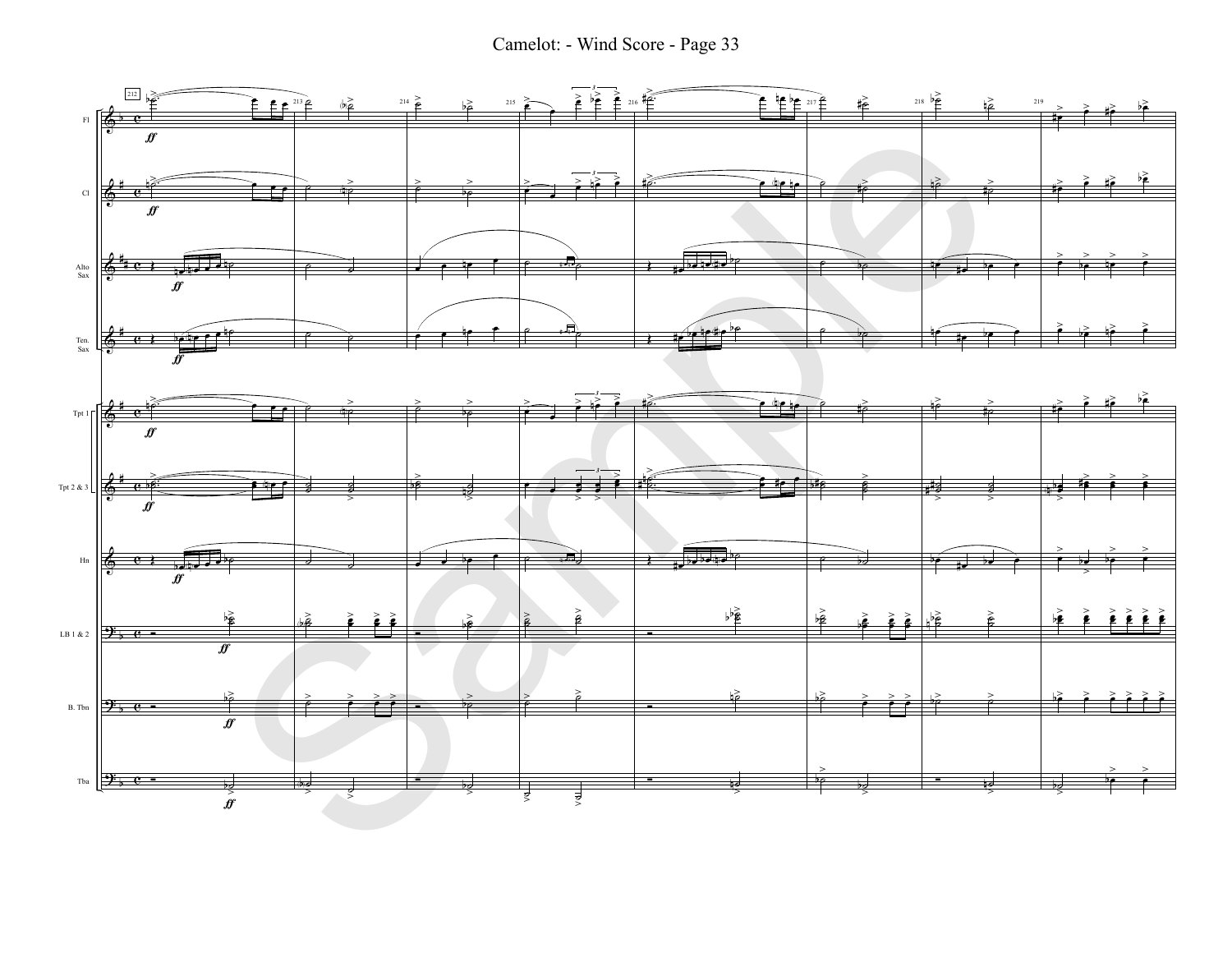Camelot: - Wind Score - Page 33